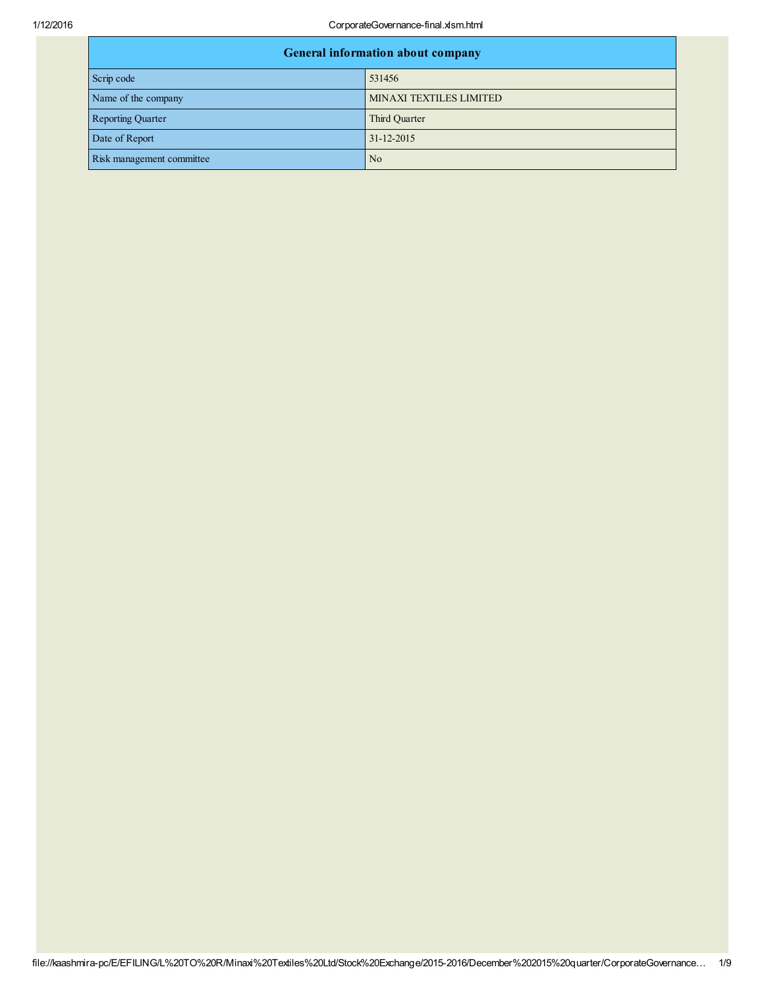1/12/2016 CorporateGovernance-final.xlsm.html

| <b>General information about company</b> |                         |  |
|------------------------------------------|-------------------------|--|
| Scrip code                               | 531456                  |  |
| Name of the company                      | MINAXI TEXTILES LIMITED |  |
| <b>Reporting Quarter</b>                 | Third Quarter           |  |
| Date of Report                           | 31-12-2015              |  |
| Risk management committee<br>No          |                         |  |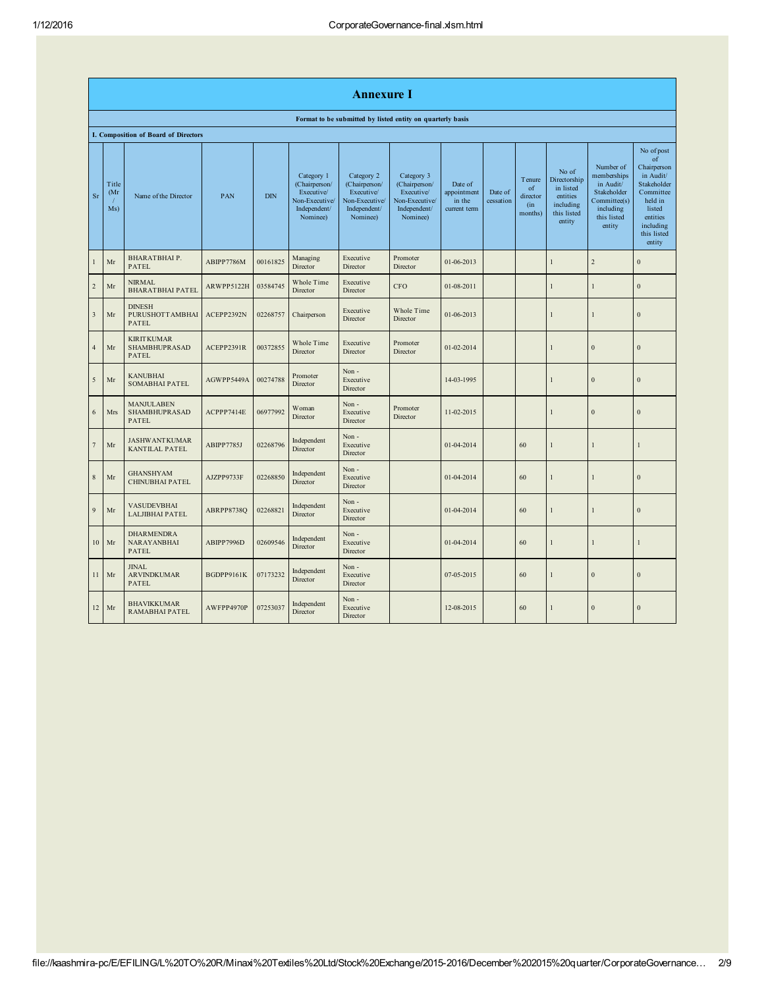|                         | Annexure I                                                 |                                                           |            |            |                                                                                         |                                                                                         |                                                                                         |                                                  |                      |                                            |                                                                                      |                                                                                                            |                                                                                                                                                 |
|-------------------------|------------------------------------------------------------|-----------------------------------------------------------|------------|------------|-----------------------------------------------------------------------------------------|-----------------------------------------------------------------------------------------|-----------------------------------------------------------------------------------------|--------------------------------------------------|----------------------|--------------------------------------------|--------------------------------------------------------------------------------------|------------------------------------------------------------------------------------------------------------|-------------------------------------------------------------------------------------------------------------------------------------------------|
|                         | Format to be submitted by listed entity on quarterly basis |                                                           |            |            |                                                                                         |                                                                                         |                                                                                         |                                                  |                      |                                            |                                                                                      |                                                                                                            |                                                                                                                                                 |
|                         |                                                            | I. Composition of Board of Directors                      |            |            |                                                                                         |                                                                                         |                                                                                         |                                                  |                      |                                            |                                                                                      |                                                                                                            |                                                                                                                                                 |
| Sr                      | Title<br>(Mr<br>Ms)                                        | Name of the Director                                      | PAN        | <b>DIN</b> | Category 1<br>(Chairperson/<br>Executive/<br>Non-Executive/<br>Independent/<br>Nominee) | Category 2<br>(Chairperson/<br>Executive/<br>Non-Executive/<br>Independent/<br>Nominee) | Category 3<br>(Chairperson/<br>Executive/<br>Non-Executive/<br>Independent/<br>Nominee) | Date of<br>appointment<br>in the<br>current term | Date of<br>cessation | Tenure<br>of<br>director<br>(in<br>months) | No of<br>Directorship<br>in listed<br>entities<br>including<br>this listed<br>entity | Number of<br>memberships<br>in Audit/<br>Stakeholder<br>Committee(s)<br>including<br>this listed<br>entity | No of post<br>of<br>Chairperson<br>in Audit/<br>Stakeholder<br>Committee<br>held in<br>listed<br>entities<br>including<br>this listed<br>entity |
| $\mathbf{1}$            | Mr                                                         | <b>BHARATBHAIP.</b><br><b>PATEL</b>                       | ABIPP7786M | 00161825   | Managing<br>Director                                                                    | Executive<br>Director                                                                   | Promoter<br>Director                                                                    | 01-06-2013                                       |                      |                                            | $\mathbf{I}$                                                                         | $\overline{c}$                                                                                             | $\mathbf{0}$                                                                                                                                    |
| $\sqrt{2}$              | Mr                                                         | <b>NIRMAL</b><br><b>BHARATBHAI PATEL</b>                  | ARWPP5122H | 03584745   | Whole Time<br>Director                                                                  | Executive<br>Director                                                                   | CFO                                                                                     | 01-08-2011                                       |                      |                                            | ı                                                                                    | 1                                                                                                          | $\boldsymbol{0}$                                                                                                                                |
| $\overline{\mathbf{3}}$ | Mr                                                         | <b>DINESH</b><br>PURUSHOTTAMBHAI<br><b>PATEL</b>          | ACEPP2392N | 02268757   | Chairperson                                                                             | Executive<br>Director                                                                   | Whole Time<br>Director                                                                  | 01-06-2013                                       |                      |                                            | 1                                                                                    | 1                                                                                                          | $\overline{0}$                                                                                                                                  |
| $\overline{4}$          | Mr                                                         | <b>KIRITKUMAR</b><br><b>SHAMBHUPRASAD</b><br><b>PATEL</b> | ACEPP2391R | 00372855   | Whole Time<br>Director                                                                  | Executive<br>Director                                                                   | Promoter<br>Director                                                                    | 01-02-2014                                       |                      |                                            | $\mathbf{I}$                                                                         | $\overline{0}$                                                                                             | $\boldsymbol{0}$                                                                                                                                |
| 5                       | Mr                                                         | <b>KANUBHAI</b><br><b>SOMABHAI PATEL</b>                  | AGWPP5449A | 00274788   | Promoter<br>Director                                                                    | Non-<br>Executive<br>Director                                                           |                                                                                         | 14-03-1995                                       |                      |                                            | 1                                                                                    | $\boldsymbol{0}$                                                                                           | $\boldsymbol{0}$                                                                                                                                |
| 6                       | <b>Mrs</b>                                                 | <b>MANJULABEN</b><br><b>SHAMBHUPRASAD</b><br><b>PATEL</b> | ACPPP7414E | 06977992   | Woman<br>Director                                                                       | Non-<br>Executive<br>Director                                                           | Promoter<br>Director                                                                    | 11-02-2015                                       |                      |                                            | $\mathbf{I}$                                                                         | $\mathbf{0}$                                                                                               | $\mathbf{0}$                                                                                                                                    |
| $\overline{7}$          | Mr                                                         | <b>JASHWANTKUMAR</b><br>KANTILAL PATEL                    | ABIPP7785J | 02268796   | Independent<br>Director                                                                 | Non-<br>Executive<br>Director                                                           |                                                                                         | 01-04-2014                                       |                      | 60                                         | 1                                                                                    | 1                                                                                                          | 1                                                                                                                                               |
| 8                       | Mr                                                         | <b>GHANSHYAM</b><br>CHINUBHAI PATEL                       | AJZPP9733F | 02268850   | Independent<br>Director                                                                 | Non-<br>Executive<br>Director                                                           |                                                                                         | 01-04-2014                                       |                      | 60                                         | 1                                                                                    | 1                                                                                                          | $\mathbf{0}$                                                                                                                                    |
| 9                       | Mr                                                         | VASUDEVBHAI<br><b>LALJIBHAI PATEL</b>                     | ABRPP8738Q | 02268821   | Independent<br>Director                                                                 | Non-<br>Executive<br>Director                                                           |                                                                                         | 01-04-2014                                       |                      | 60                                         | 1                                                                                    | $\mathbf{1}$                                                                                               | $\boldsymbol{0}$                                                                                                                                |
| 10                      | Mr                                                         | <b>DHARMENDRA</b><br><b>NARAYANBHAI</b><br>PATEL          | ABIPP7996D | 02609546   | Independent<br>Director                                                                 | Non-<br>Executive<br>Director                                                           |                                                                                         | 01-04-2014                                       |                      | 60                                         | 1                                                                                    | 1                                                                                                          |                                                                                                                                                 |
| 11                      | Mr                                                         | <b>JINAL</b><br><b>ARVINDKUMAR</b><br>PATEL               | BGDPP9161K | 07173232   | Independent<br>Director                                                                 | Non-<br>Executive<br>Director                                                           |                                                                                         | 07-05-2015                                       |                      | 60                                         | 1                                                                                    | $\boldsymbol{0}$                                                                                           | $\boldsymbol{0}$                                                                                                                                |
| 12                      | Mr                                                         | <b>BHAVIKKUMAR</b><br>RAMABHAI PATEL                      | AWFPP4970P | 07253037   | Independent<br>Director                                                                 | Non-<br>Executive<br>Director                                                           |                                                                                         | 12-08-2015                                       |                      | 60                                         | 1                                                                                    | $\Omega$                                                                                                   | $\mathbf{0}$                                                                                                                                    |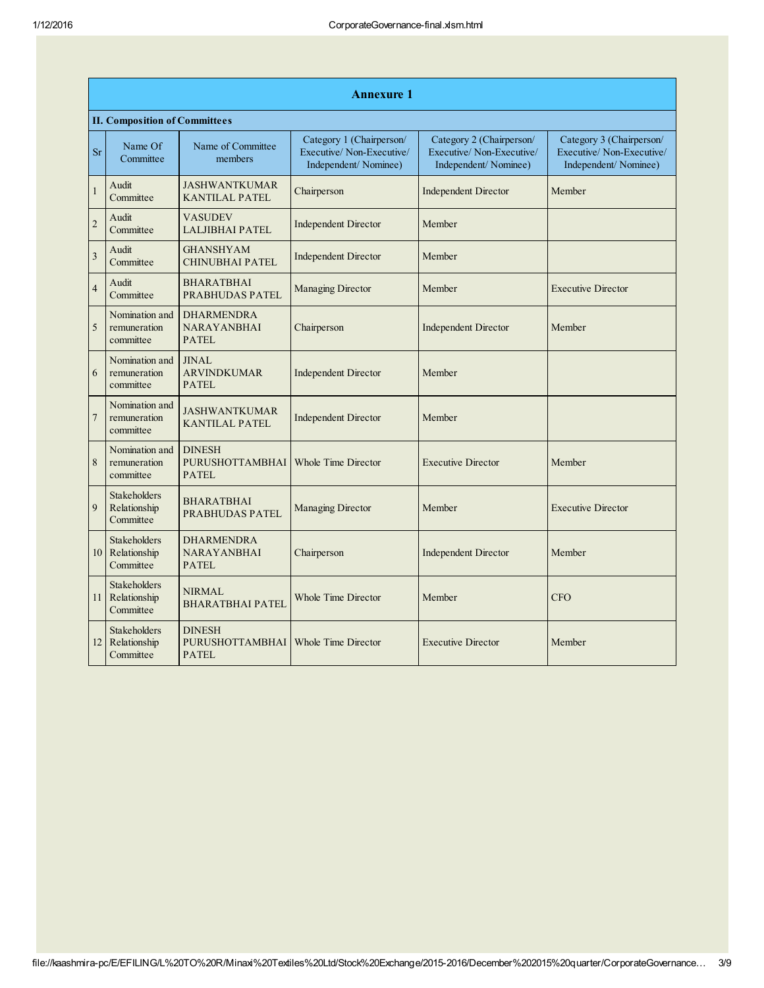|                         | <b>Annexure 1</b>                                |                                                         |                                                                              |                                                                              |                                                                              |  |  |  |  |
|-------------------------|--------------------------------------------------|---------------------------------------------------------|------------------------------------------------------------------------------|------------------------------------------------------------------------------|------------------------------------------------------------------------------|--|--|--|--|
|                         | <b>II. Composition of Committees</b>             |                                                         |                                                                              |                                                                              |                                                                              |  |  |  |  |
| <b>Sr</b>               | Name Of<br>Committee                             | Name of Committee<br>members                            | Category 1 (Chairperson/<br>Executive/Non-Executive/<br>Independent/Nominee) | Category 2 (Chairperson/<br>Executive/Non-Executive/<br>Independent/Nominee) | Category 3 (Chairperson/<br>Executive/Non-Executive/<br>Independent/Nominee) |  |  |  |  |
| 1                       | Audit<br>Committee                               | <b>JASHWANTKUMAR</b><br><b>KANTILAL PATEL</b>           | Chairperson                                                                  | <b>Independent Director</b>                                                  | Member                                                                       |  |  |  |  |
| $\overline{c}$          | Audit<br>Committee                               | <b>VASUDEV</b><br><b>LALJIBHAI PATEL</b>                | <b>Independent Director</b>                                                  | Member                                                                       |                                                                              |  |  |  |  |
| $\overline{\mathbf{3}}$ | Audit<br>Committee                               | <b>GHANSHYAM</b><br><b>CHINUBHAI PATEL</b>              | <b>Independent Director</b>                                                  | Member                                                                       |                                                                              |  |  |  |  |
| $\overline{4}$          | Audit<br>Committee                               | <b>BHARATBHAI</b><br><b>PRABHUDAS PATEL</b>             | <b>Managing Director</b>                                                     | Member                                                                       | <b>Executive Director</b>                                                    |  |  |  |  |
| 5                       | Nomination and<br>remuneration<br>committee      | <b>DHARMENDRA</b><br><b>NARAYANBHAI</b><br><b>PATEL</b> | Chairperson                                                                  | <b>Independent Director</b>                                                  | Member                                                                       |  |  |  |  |
| 6                       | Nomination and<br>remuneration<br>committee      | <b>JINAL</b><br><b>ARVINDKUMAR</b><br><b>PATEL</b>      | <b>Independent Director</b>                                                  | Member                                                                       |                                                                              |  |  |  |  |
| $\overline{7}$          | Nomination and<br>remuneration<br>committee      | <b>JASHWANTKUMAR</b><br><b>KANTILAL PATEL</b>           | <b>Independent Director</b>                                                  | Member                                                                       |                                                                              |  |  |  |  |
| 8                       | Nomination and<br>remuneration<br>committee      | <b>DINESH</b><br><b>PURUSHOTTAMBHAI</b><br><b>PATEL</b> | <b>Whole Time Director</b>                                                   | <b>Executive Director</b>                                                    | Member                                                                       |  |  |  |  |
| 9                       | Stakeholders<br>Relationship<br>Committee        | <b>BHARATBHAI</b><br><b>PRABHUDAS PATEL</b>             | Managing Director                                                            | Member                                                                       | <b>Executive Director</b>                                                    |  |  |  |  |
| 10                      | Stakeholders<br>Relationship<br>Committee        | <b>DHARMENDRA</b><br><b>NARAYANBHAI</b><br><b>PATEL</b> | Chairperson                                                                  | <b>Independent Director</b>                                                  | Member                                                                       |  |  |  |  |
| 11                      | Stakeholders<br>Relationship<br>Committee        | <b>NIRMAL</b><br><b>BHARATBHAI PATEL</b>                | <b>Whole Time Director</b>                                                   | Member                                                                       | <b>CFO</b>                                                                   |  |  |  |  |
| 12 <sup>1</sup>         | <b>Stakeholders</b><br>Relationship<br>Committee | <b>DINESH</b><br><b>PURUSHOTTAMBHAI</b><br><b>PATEL</b> | Whole Time Director                                                          | <b>Executive Director</b>                                                    | Member                                                                       |  |  |  |  |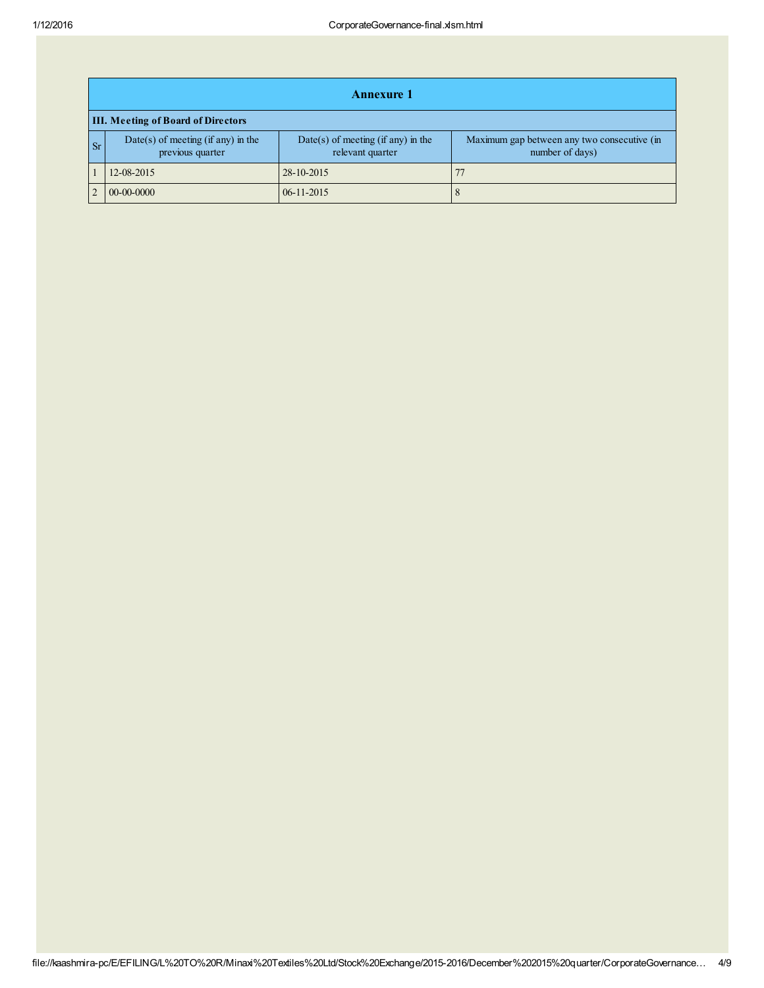|    | <b>Annexure 1</b>                                        |                                                          |                                                                |  |  |  |  |  |
|----|----------------------------------------------------------|----------------------------------------------------------|----------------------------------------------------------------|--|--|--|--|--|
|    | <b>III. Meeting of Board of Directors</b>                |                                                          |                                                                |  |  |  |  |  |
| Sr | $Date(s)$ of meeting (if any) in the<br>previous quarter | $Date(s)$ of meeting (if any) in the<br>relevant quarter | Maximum gap between any two consecutive (in<br>number of days) |  |  |  |  |  |
|    | 12-08-2015                                               | 28-10-2015                                               |                                                                |  |  |  |  |  |
|    | $00-00-0000$                                             | $06 - 11 - 2015$                                         |                                                                |  |  |  |  |  |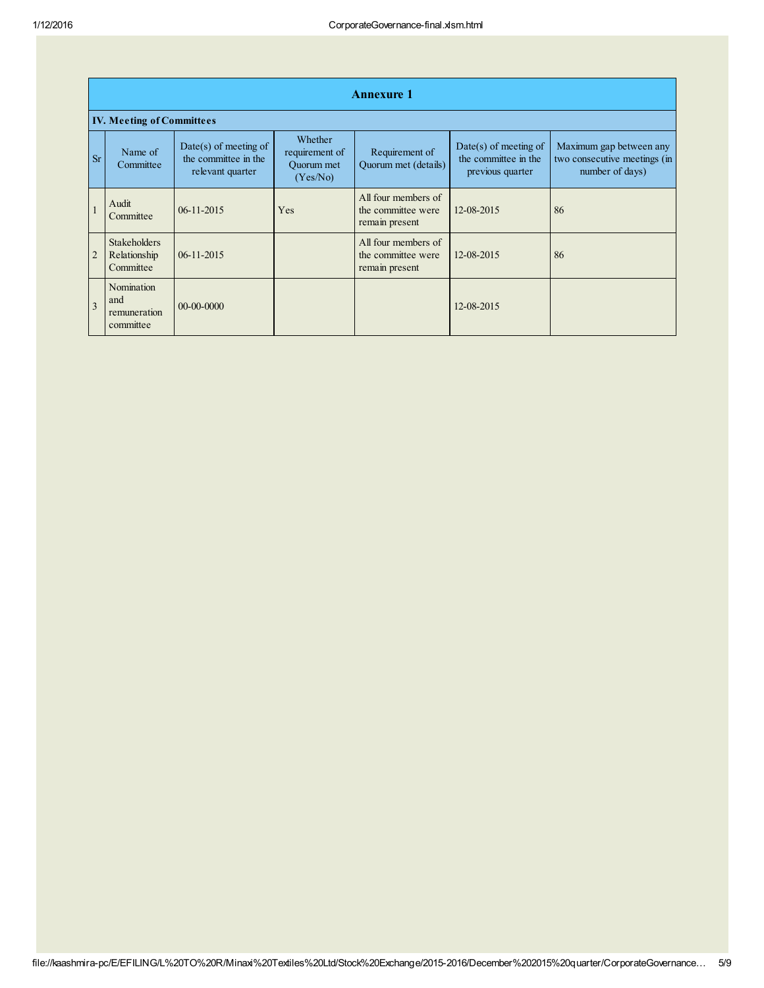|                | <b>Annexure 1</b>                                |                                                                     |                                                     |                                                             |                                                                     |                                                                            |  |  |
|----------------|--------------------------------------------------|---------------------------------------------------------------------|-----------------------------------------------------|-------------------------------------------------------------|---------------------------------------------------------------------|----------------------------------------------------------------------------|--|--|
|                | <b>IV. Meeting of Committees</b>                 |                                                                     |                                                     |                                                             |                                                                     |                                                                            |  |  |
| <b>Sr</b>      | Name of<br>Committee                             | $Date(s)$ of meeting of<br>the committee in the<br>relevant quarter | Whether<br>requirement of<br>Ouorum met<br>(Yes/No) | Requirement of<br>Quorum met (details)                      | $Date(s)$ of meeting of<br>the committee in the<br>previous quarter | Maximum gap between any<br>two consecutive meetings (in<br>number of days) |  |  |
|                | Audit<br>Committee                               | $06-11-2015$                                                        | Yes                                                 | All four members of<br>the committee were<br>remain present | 12-08-2015                                                          | 86                                                                         |  |  |
| $\overline{2}$ | <b>Stakeholders</b><br>Relationship<br>Committee | $06-11-2015$                                                        |                                                     | All four members of<br>the committee were<br>remain present | 12-08-2015                                                          | 86                                                                         |  |  |
| $\overline{3}$ | Nomination<br>and<br>remuneration<br>committee   | $00-00-0000$                                                        |                                                     |                                                             | 12-08-2015                                                          |                                                                            |  |  |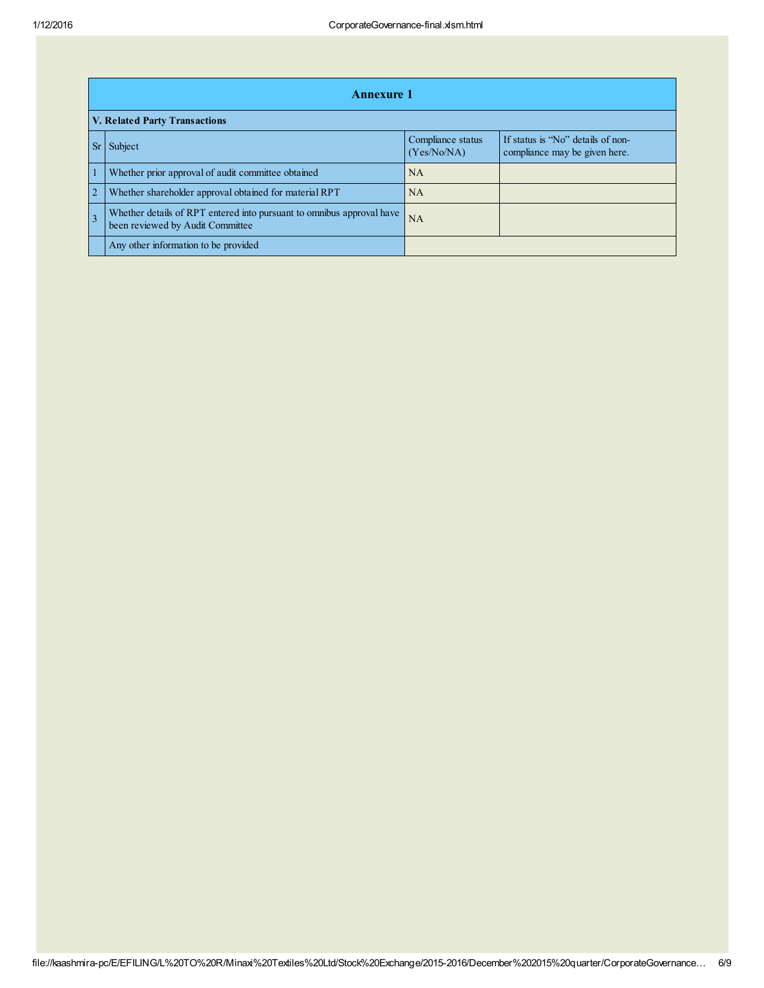|                | <b>Annexure 1</b>                                                                                         |                                  |                                                                    |  |  |  |  |
|----------------|-----------------------------------------------------------------------------------------------------------|----------------------------------|--------------------------------------------------------------------|--|--|--|--|
|                | V. Related Party Transactions                                                                             |                                  |                                                                    |  |  |  |  |
|                | Subject                                                                                                   | Compliance status<br>(Yes/No/NA) | If status is "No" details of non-<br>compliance may be given here. |  |  |  |  |
|                | Whether prior approval of audit committee obtained                                                        | <b>NA</b>                        |                                                                    |  |  |  |  |
| $\overline{2}$ | Whether shareholder approval obtained for material RPT                                                    | <b>NA</b>                        |                                                                    |  |  |  |  |
|                | Whether details of RPT entered into pursuant to omnibus approval have<br>been reviewed by Audit Committee | <b>NA</b>                        |                                                                    |  |  |  |  |
|                | Any other information to be provided                                                                      |                                  |                                                                    |  |  |  |  |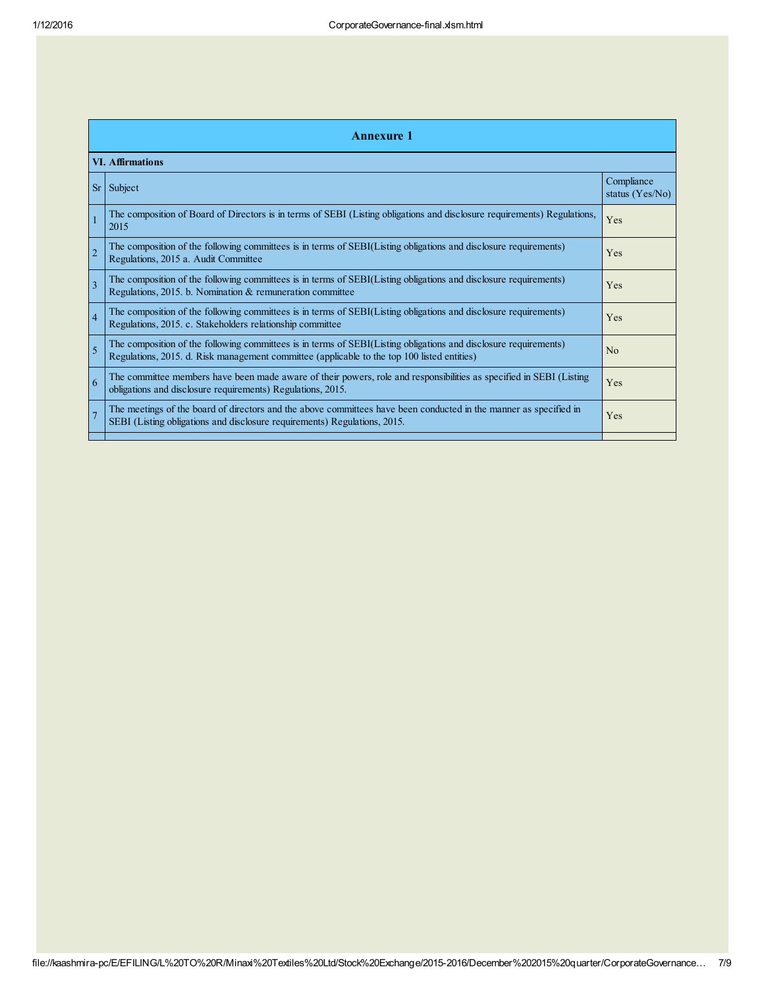|                | <b>Annexure 1</b>                                                                                                                                                                                               |                               |  |  |  |  |
|----------------|-----------------------------------------------------------------------------------------------------------------------------------------------------------------------------------------------------------------|-------------------------------|--|--|--|--|
|                | <b>VI. Affirmations</b>                                                                                                                                                                                         |                               |  |  |  |  |
| <b>Sr</b>      | Subject                                                                                                                                                                                                         | Compliance<br>status (Yes/No) |  |  |  |  |
|                | The composition of Board of Directors is in terms of SEBI (Listing obligations and disclosure requirements) Regulations,<br>2015                                                                                | Yes                           |  |  |  |  |
| $\overline{2}$ | The composition of the following committees is in terms of SEBI(Listing obligations and disclosure requirements)<br>Regulations, 2015 a. Audit Committee                                                        | Yes                           |  |  |  |  |
| 3              | The composition of the following committees is in terms of SEBI(Listing obligations and disclosure requirements)<br>Regulations, 2015. b. Nomination & remuneration committee                                   | Yes                           |  |  |  |  |
| $\overline{4}$ | The composition of the following committees is in terms of SEBI(Listing obligations and disclosure requirements)<br>Regulations, 2015. c. Stakeholders relationship committee                                   | Yes                           |  |  |  |  |
| 5              | The composition of the following committees is in terms of SEBI(Listing obligations and disclosure requirements)<br>Regulations, 2015. d. Risk management committee (applicable to the top 100 listed entities) | No                            |  |  |  |  |
| 6              | The committee members have been made aware of their powers, role and responsibilities as specified in SEBI (Listing<br>obligations and disclosure requirements) Regulations, 2015.                              | Yes                           |  |  |  |  |
|                | The meetings of the board of directors and the above committees have been conducted in the manner as specified in<br>SEBI (Listing obligations and disclosure requirements) Regulations, 2015.                  | Yes                           |  |  |  |  |
|                |                                                                                                                                                                                                                 |                               |  |  |  |  |